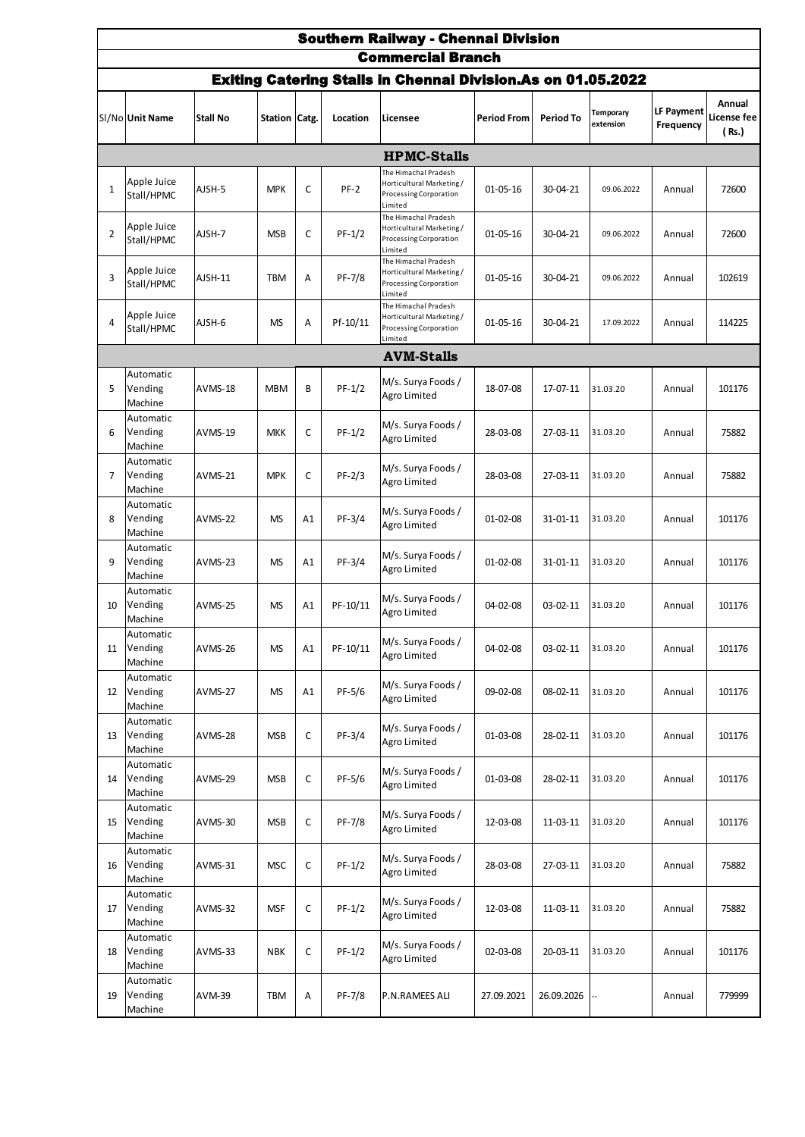|                | <b>Southern Railway - Chennai Division</b> |                |               |    |          |                                                                                        |                    |            |                        |                         |                                |  |  |
|----------------|--------------------------------------------|----------------|---------------|----|----------|----------------------------------------------------------------------------------------|--------------------|------------|------------------------|-------------------------|--------------------------------|--|--|
|                |                                            |                |               |    |          | <b>Commercial Branch</b>                                                               |                    |            |                        |                         |                                |  |  |
|                |                                            |                |               |    |          | <b>Exiting Catering Stalls in Chennai Division.As on 01.05.2022</b>                    |                    |            |                        |                         |                                |  |  |
|                | SI/No Unit Name                            | Stall No       | Station Catg. |    | Location | Licensee                                                                               | <b>Period From</b> | Period To  | Temporary<br>extension | LF Payment<br>Frequency | Annual<br>License fee<br>(Rs.) |  |  |
|                |                                            |                |               |    |          | <b>HPMC-Stalls</b>                                                                     |                    |            |                        |                         |                                |  |  |
| $\mathbf{1}$   | Apple Juice<br>Stall/HPMC                  | AJSH-5         | <b>MPK</b>    | C  | $PF-2$   | The Himachal Pradesh<br>Horticultural Marketing/<br>Processing Corporation<br>Limited  | $01 - 05 - 16$     | 30-04-21   | 09.06.2022             | Annual                  | 72600                          |  |  |
| $\overline{2}$ | Apple Juice<br>Stall/HPMC                  | AJSH-7         | <b>MSB</b>    | C  | $PF-1/2$ | The Himachal Pradesh<br>Horticultural Marketing/<br>Processing Corporation<br>Limited  | $01 - 05 - 16$     | 30-04-21   | 09.06.2022             | Annual                  | 72600                          |  |  |
| 3              | Apple Juice<br>Stall/HPMC                  | AJSH-11        | <b>TBM</b>    | Α  | PF-7/8   | The Himachal Pradesh<br>Horticultural Marketing/<br>Processing Corporation<br>Limited  | $01 - 05 - 16$     | 30-04-21   | 09.06.2022             | Annual                  | 102619                         |  |  |
| 4              | Apple Juice<br>Stall/HPMC                  | AJSH-6         | <b>MS</b>     | Α  | Pf-10/11 | The Himachal Pradesh<br>Horticultural Marketing /<br>Processing Corporation<br>Limited | $01 - 05 - 16$     | 30-04-21   | 17.09.2022             | Annual                  | 114225                         |  |  |
|                |                                            |                |               |    |          | <b>AVM-Stalls</b>                                                                      |                    |            |                        |                         |                                |  |  |
| 5              | Automatic<br>Vending<br>Machine            | <b>AVMS-18</b> | <b>MBM</b>    | B  | $PF-1/2$ | M/s. Surya Foods /<br>Agro Limited                                                     | 18-07-08           | 17-07-11   | 31.03.20               | Annual                  | 101176                         |  |  |
| 6              | Automatic<br>Vending<br>Machine            | AVMS-19        | <b>MKK</b>    | C  | $PF-1/2$ | M/s. Surya Foods /<br>Agro Limited                                                     | 28-03-08           | 27-03-11   | 31.03.20               | Annual                  | 75882                          |  |  |
| $\overline{7}$ | Automatic<br>Vending<br>Machine            | AVMS-21        | <b>MPK</b>    | C  | $PF-2/3$ | M/s. Surya Foods /<br>Agro Limited                                                     | 28-03-08           | 27-03-11   | 31.03.20               | Annual                  | 75882                          |  |  |
| 8              | Automatic<br>Vending<br>Machine            | AVMS-22        | <b>MS</b>     | A1 | PF-3/4   | M/s. Surya Foods /<br>Agro Limited                                                     | 01-02-08           | 31-01-11   | 31.03.20               | Annual                  | 101176                         |  |  |
| 9              | Automatic<br>Vending<br>Machine            | AVMS-23        | <b>MS</b>     | A1 | PF-3/4   | M/s. Surya Foods /<br>Agro Limited                                                     | $01 - 02 - 08$     | 31-01-11   | 31.03.20               | Annual                  | 101176                         |  |  |
| 10             | Automatic<br>Vending<br>Machine            | AVMS-25        | <b>MS</b>     | A1 | PF-10/11 | M/s. Surya Foods /<br>Agro Limited                                                     | $04 - 02 - 08$     | 03-02-11   | 31.03.20               | Annual                  | 101176                         |  |  |
| 11             | Automatic<br>Vending<br>Machine            | AVMS-26        | <b>MS</b>     | A1 | PF-10/11 | M/s. Surya Foods /<br>Agro Limited                                                     | 04-02-08           | 03-02-11   | 31.03.20               | Annual                  | 101176                         |  |  |
| 12             | Automatic<br>Vending<br>Machine            | <b>AVMS-27</b> | <b>MS</b>     | A1 | PF-5/6   | M/s. Surya Foods /<br>Agro Limited                                                     | 09-02-08           | 08-02-11   | 31.03.20               | Annual                  | 101176                         |  |  |
| 13             | Automatic<br>Vending<br>Machine            | AVMS-28        | <b>MSB</b>    | С  | PF-3/4   | M/s. Surya Foods /<br>Agro Limited                                                     | 01-03-08           | 28-02-11   | 31.03.20               | Annual                  | 101176                         |  |  |
| 14             | Automatic<br>Vending<br>Machine            | AVMS-29        | <b>MSB</b>    | C  | PF-5/6   | M/s. Surya Foods /<br>Agro Limited                                                     | 01-03-08           | 28-02-11   | 31.03.20               | Annual                  | 101176                         |  |  |
| 15             | Automatic<br>Vending<br>Machine            | AVMS-30        | <b>MSB</b>    | С  | PF-7/8   | M/s. Surya Foods /<br>Agro Limited                                                     | 12-03-08           | 11-03-11   | 31.03.20               | Annual                  | 101176                         |  |  |
| 16             | Automatic<br>Vending<br>Machine            | AVMS-31        | <b>MSC</b>    | C  | $PF-1/2$ | M/s. Surya Foods /<br>Agro Limited                                                     | 28-03-08           | 27-03-11   | 31.03.20               | Annual                  | 75882                          |  |  |
| 17             | Automatic<br>Vending<br>Machine            | AVMS-32        | <b>MSF</b>    | С  | $PF-1/2$ | M/s. Surya Foods /<br>Agro Limited                                                     | 12-03-08           | 11-03-11   | 31.03.20               | Annual                  | 75882                          |  |  |
| 18             | Automatic<br>Vending<br>Machine            | AVMS-33        | <b>NBK</b>    | C  | $PF-1/2$ | M/s. Surya Foods /<br>Agro Limited                                                     | 02-03-08           | 20-03-11   | 31.03.20               | Annual                  | 101176                         |  |  |
| 19             | Automatic<br>Vending<br>Machine            | AVM-39         | <b>TBM</b>    | Α  | PF-7/8   | P.N.RAMEES ALI                                                                         | 27.09.2021         | 26.09.2026 |                        | Annual                  | 779999                         |  |  |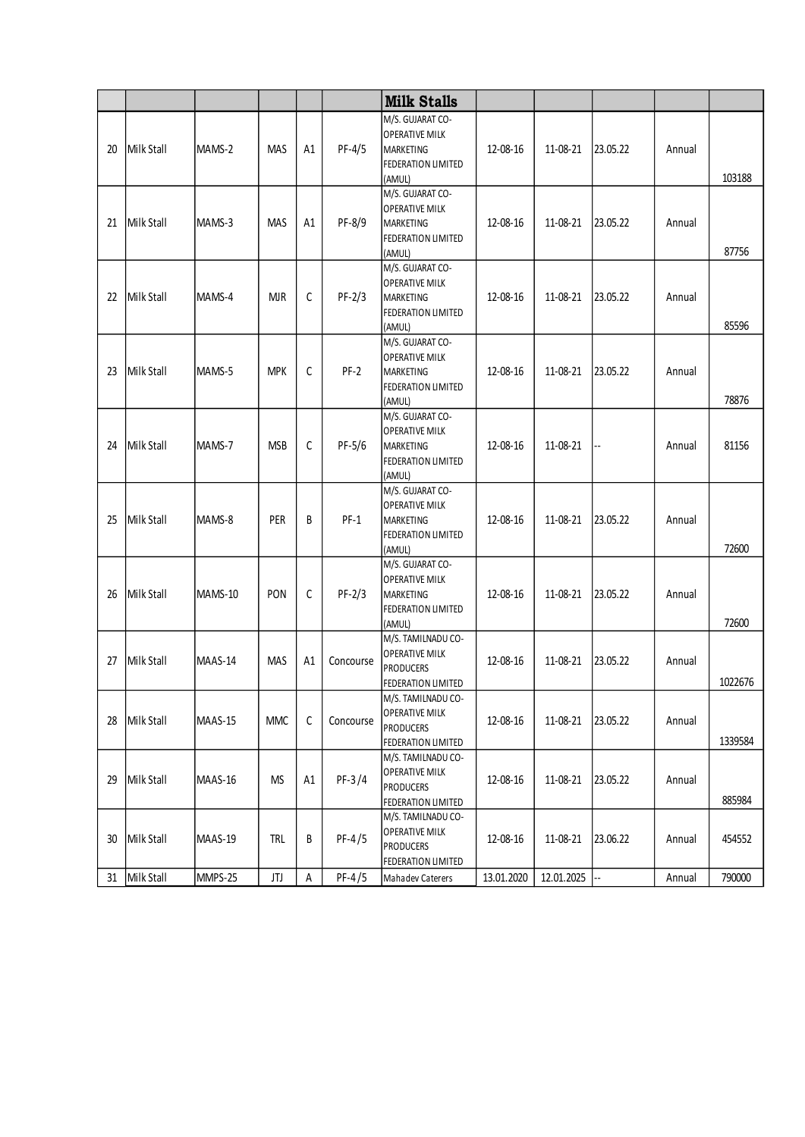|    |            |         |            |    |           | <b>Milk Stalls</b>                          |            |            |          |        |         |
|----|------------|---------|------------|----|-----------|---------------------------------------------|------------|------------|----------|--------|---------|
|    |            |         |            |    |           | M/S. GUJARAT CO-                            |            |            |          |        |         |
|    |            |         |            |    |           | <b>OPERATIVE MILK</b>                       |            |            |          |        |         |
| 20 | Milk Stall | MAMS-2  | <b>MAS</b> | A1 | $PF-4/5$  | <b>MARKETING</b>                            | 12-08-16   | 11-08-21   | 23.05.22 | Annual |         |
|    |            |         |            |    |           | FEDERATION LIMITED<br>(AMUL)                |            |            |          |        | 103188  |
|    |            |         |            |    |           | M/S. GUJARAT CO-                            |            |            |          |        |         |
|    |            |         |            |    |           | <b>OPERATIVE MILK</b>                       |            |            |          |        |         |
| 21 | Milk Stall | MAMS-3  | <b>MAS</b> | A1 | PF-8/9    | <b>MARKETING</b>                            | 12-08-16   | 11-08-21   | 23.05.22 | Annual |         |
|    |            |         |            |    |           | <b>FEDERATION LIMITED</b>                   |            |            |          |        |         |
|    |            |         |            |    |           | (AMUL)                                      |            |            |          |        | 87756   |
|    |            |         |            |    |           | M/S. GUJARAT CO-                            |            |            |          |        |         |
|    |            |         |            |    |           | <b>OPERATIVE MILK</b>                       |            |            |          |        |         |
| 22 | Milk Stall | MAMS-4  | <b>MJR</b> | C  | $PF-2/3$  | <b>MARKETING</b>                            | 12-08-16   | 11-08-21   | 23.05.22 | Annual |         |
|    |            |         |            |    |           | FEDERATION LIMITED                          |            |            |          |        |         |
|    |            |         |            |    |           | (AMUL)                                      |            |            |          |        | 85596   |
|    |            |         |            |    |           | M/S. GUJARAT CO-<br><b>OPERATIVE MILK</b>   |            |            |          |        |         |
| 23 | Milk Stall | MAMS-5  | <b>MPK</b> | C  | $PF-2$    | MARKETING                                   | 12-08-16   | 11-08-21   | 23.05.22 | Annual |         |
|    |            |         |            |    |           | FEDERATION LIMITED                          |            |            |          |        |         |
|    |            |         |            |    |           | (AMUL)                                      |            |            |          |        | 78876   |
|    |            |         |            |    |           | M/S. GUJARAT CO-                            |            |            |          |        |         |
|    |            |         |            |    |           | <b>OPERATIVE MILK</b>                       |            |            |          |        |         |
| 24 | Milk Stall | MAMS-7  | <b>MSB</b> | C  | $PF-5/6$  | <b>MARKETING</b>                            | 12-08-16   | 11-08-21   | --       | Annual | 81156   |
|    |            |         |            |    |           | FEDERATION LIMITED                          |            |            |          |        |         |
|    |            |         |            |    |           | (AMUL)                                      |            |            |          |        |         |
|    |            |         |            |    |           | M/S. GUJARAT CO-                            |            |            |          |        |         |
|    |            |         |            |    |           | <b>OPERATIVE MILK</b>                       |            |            |          |        |         |
| 25 | Milk Stall | MAMS-8  | PER        | B  | $PF-1$    | <b>MARKETING</b>                            | 12-08-16   | 11-08-21   | 23.05.22 | Annual |         |
|    |            |         |            |    |           | FEDERATION LIMITED<br>(AMUL)                |            |            |          |        | 72600   |
|    |            |         |            |    |           | M/S. GUJARAT CO-                            |            |            |          |        |         |
|    |            |         |            |    |           | <b>OPERATIVE MILK</b>                       |            |            |          |        |         |
| 26 | Milk Stall | MAMS-10 | PON        | C  | $PF-2/3$  | MARKETING                                   | 12-08-16   | 11-08-21   | 23.05.22 | Annual |         |
|    |            |         |            |    |           | FEDERATION LIMITED                          |            |            |          |        |         |
|    |            |         |            |    |           | (AMUL)                                      |            |            |          |        | 72600   |
|    |            |         |            |    |           | M/S. TAMILNADU CO-                          |            |            |          |        |         |
| 27 | Milk Stall | MAAS-14 | <b>MAS</b> | A1 | Concourse | <b>OPERATIVE MILK</b>                       | 12-08-16   | 11-08-21   | 23.05.22 | Annual |         |
|    |            |         |            |    |           | <b>PRODUCERS</b>                            |            |            |          |        |         |
|    |            |         |            |    |           | FEDERATION LIMITED                          |            |            |          |        | 1022676 |
|    |            |         |            |    |           | M/S. TAMILNADU CO-<br><b>OPERATIVE MILK</b> |            |            |          |        |         |
| 28 | Milk Stall | MAAS-15 | <b>MMC</b> | C  | Concourse | <b>PRODUCERS</b>                            | 12-08-16   | 11-08-21   | 23.05.22 | Annual |         |
|    |            |         |            |    |           | FEDERATION LIMITED                          |            |            |          |        | 1339584 |
|    |            |         |            |    |           | M/S. TAMILNADU CO-                          |            |            |          |        |         |
|    |            |         |            |    |           | <b>OPERATIVE MILK</b>                       |            |            |          |        |         |
| 29 | Milk Stall | MAAS-16 | <b>MS</b>  | A1 | $PF-3/4$  | <b>PRODUCERS</b>                            | 12-08-16   | 11-08-21   | 23.05.22 | Annual |         |
|    |            |         |            |    |           | FEDERATION LIMITED                          |            |            |          |        | 885984  |
|    |            |         |            |    |           | M/S. TAMILNADU CO-                          |            |            |          |        |         |
| 30 | Milk Stall | MAAS-19 | <b>TRL</b> | В  | $PF-4/5$  | <b>OPERATIVE MILK</b>                       | 12-08-16   | 11-08-21   | 23.06.22 | Annual | 454552  |
|    |            |         |            |    |           | <b>PRODUCERS</b>                            |            |            |          |        |         |
|    | Milk Stall |         |            |    | $PF-4/5$  | FEDERATION LIMITED                          |            | 12.01.2025 | --       |        | 790000  |
| 31 |            | MMPS-25 | JTJ        | Α  |           | Mahadev Caterers                            | 13.01.2020 |            |          | Annual |         |
|    |            |         |            |    |           |                                             |            |            |          |        |         |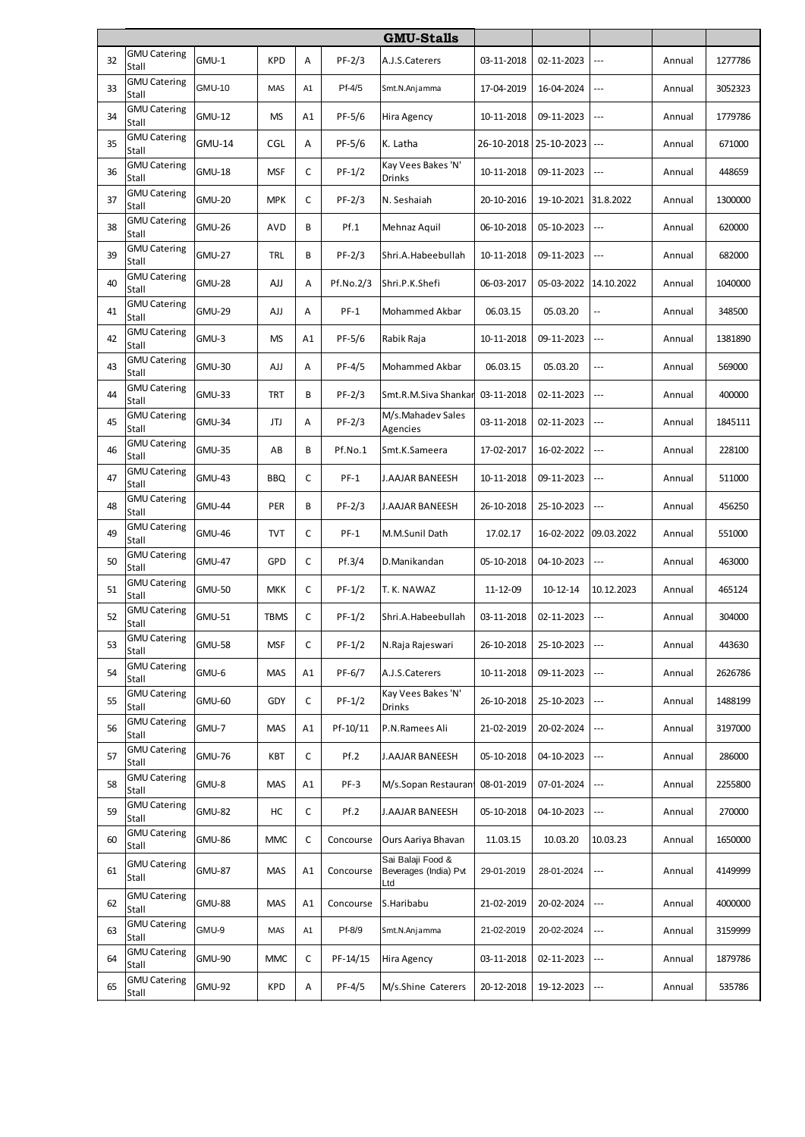|    |                              |               |             |    |           | <b>GMU-Stalls</b>                                 |            |                       |                          |        |         |
|----|------------------------------|---------------|-------------|----|-----------|---------------------------------------------------|------------|-----------------------|--------------------------|--------|---------|
| 32 | <b>GMU Catering</b><br>Stall | GMU-1         | <b>KPD</b>  | А  | $PF-2/3$  | A.J.S.Caterers                                    | 03-11-2018 | 02-11-2023            | ---                      | Annual | 1277786 |
| 33 | <b>GMU Catering</b><br>Stall | <b>GMU-10</b> | MAS         | A1 | Pf-4/5    | Smt.N.Anjamma                                     | 17-04-2019 | 16-04-2024            | $---$                    | Annual | 3052323 |
| 34 | <b>GMU Catering</b><br>Stall | <b>GMU-12</b> | <b>MS</b>   | A1 | PF-5/6    | Hira Agency                                       | 10-11-2018 | 09-11-2023            | $---$                    | Annual | 1779786 |
| 35 | <b>GMU Catering</b><br>Stall | <b>GMU-14</b> | CGL         | Α  | PF-5/6    | K. Latha                                          |            | 26-10-2018 25-10-2023 | $\overline{a}$           | Annual | 671000  |
| 36 | <b>GMU Catering</b><br>Stall | <b>GMU-18</b> | <b>MSF</b>  | C  | $PF-1/2$  | Kay Vees Bakes 'N'<br>Drinks                      | 10-11-2018 | 09-11-2023            | ---                      | Annual | 448659  |
| 37 | <b>GMU Catering</b><br>Stall | <b>GMU-20</b> | <b>MPK</b>  | C  | PF-2/3    | N. Seshaiah                                       | 20-10-2016 | 19-10-2021            | 31.8.2022                | Annual | 1300000 |
| 38 | <b>GMU Catering</b><br>Stall | <b>GMU-26</b> | <b>AVD</b>  | В  | Pf.1      | Mehnaz Aquil                                      | 06-10-2018 | 05-10-2023            | ---                      | Annual | 620000  |
| 39 | <b>GMU Catering</b><br>Stall | <b>GMU-27</b> | <b>TRL</b>  | В  | PF-2/3    | Shri.A.Habeebullah                                | 10-11-2018 | 09-11-2023            | $---$                    | Annual | 682000  |
| 40 | <b>GMU Catering</b><br>Stall | <b>GMU-28</b> | AJJ         | Α  | Pf.No.2/3 | Shri.P.K.Shefi                                    | 06-03-2017 | 05-03-2022            | 14.10.2022               | Annual | 1040000 |
| 41 | <b>GMU Catering</b><br>Stall | <b>GMU-29</b> | AJJ         | A  | PF-1      | Mohammed Akbar                                    | 06.03.15   | 05.03.20              | --                       | Annual | 348500  |
| 42 | <b>GMU Catering</b><br>Stall | GMU-3         | <b>MS</b>   | A1 | PF-5/6    | Rabik Raja                                        | 10-11-2018 | 09-11-2023            | ---                      | Annual | 1381890 |
| 43 | <b>GMU Catering</b><br>Stall | <b>GMU-30</b> | AJJ         | A  | PF-4/5    | Mohammed Akbar                                    | 06.03.15   | 05.03.20              | ---                      | Annual | 569000  |
| 44 | <b>GMU Catering</b><br>Stall | <b>GMU-33</b> | <b>TRT</b>  | В  | PF-2/3    | Smt.R.M.Siva Shankar                              | 03-11-2018 | 02-11-2023            | $---$                    | Annual | 400000  |
| 45 | <b>GMU Catering</b><br>Stall | <b>GMU-34</b> | JTJ         | Α  | $PF-2/3$  | M/s.Mahadev Sales<br>Agencies                     | 03-11-2018 | 02-11-2023            | ---                      | Annual | 1845111 |
| 46 | <b>GMU Catering</b><br>Stall | <b>GMU-35</b> | AB          | В  | Pf.No.1   | Smt.K.Sameera                                     | 17-02-2017 | 16-02-2022            | ---                      | Annual | 228100  |
| 47 | <b>GMU Catering</b><br>Stall | <b>GMU-43</b> | <b>BBQ</b>  | C  | PF-1      | J.AAJAR BANEESH                                   | 10-11-2018 | 09-11-2023            | $\overline{a}$           | Annual | 511000  |
| 48 | <b>GMU Catering</b><br>Stall | <b>GMU-44</b> | PER         | В  | $PF-2/3$  | J.AAJAR BANEESH                                   | 26-10-2018 | 25-10-2023            | ---                      | Annual | 456250  |
| 49 | <b>GMU Catering</b><br>Stall | <b>GMU-46</b> | <b>TVT</b>  | C  | PF-1      | M.M.Sunil Dath                                    | 17.02.17   | 16-02-2022            | 09.03.2022               | Annual | 551000  |
| 50 | <b>GMU Catering</b><br>Stall | <b>GMU-47</b> | <b>GPD</b>  | C  | Pf.3/4    | D.Manikandan                                      | 05-10-2018 | 04-10-2023            | $\overline{a}$           | Annual | 463000  |
| 51 | <b>GMU Catering</b><br>Stall | <b>GMU-50</b> | <b>MKK</b>  | C  | $PF-1/2$  | T. K. NAWAZ                                       | 11-12-09   | 10-12-14              | 10.12.2023               | Annual | 465124  |
| 52 | <b>GMU Catering</b><br>Stall | <b>GMU-51</b> | <b>TBMS</b> | C  | $PF-1/2$  | Shri.A.Habeebullah                                | 03-11-2018 | 02-11-2023            | ---                      | Annual | 304000  |
| 53 | <b>GMU Catering</b><br>Stall | <b>GMU-58</b> | <b>MSF</b>  | C  | $PF-1/2$  | N.Raja Rajeswari                                  | 26-10-2018 | 25-10-2023            | $\overline{\phantom{a}}$ | Annual | 443630  |
| 54 | <b>GMU Catering</b><br>Stall | GMU-6         | MAS         | A1 | PF-6/7    | A.J.S.Caterers                                    | 10-11-2018 | 09-11-2023            | ---                      | Annual | 2626786 |
| 55 | <b>GMU Catering</b><br>Stall | <b>GMU-60</b> | GDY         | С  | $PF-1/2$  | Kay Vees Bakes 'N'<br><b>Drinks</b>               | 26-10-2018 | 25-10-2023            | $---$                    | Annual | 1488199 |
| 56 | <b>GMU Catering</b><br>Stall | GMU-7         | MAS         | A1 | Pf-10/11  | P.N.Ramees Ali                                    | 21-02-2019 | 20-02-2024            | $---$                    | Annual | 3197000 |
| 57 | <b>GMU Catering</b><br>Stall | <b>GMU-76</b> | KBT         | С  | Pf.2      | J.AAJAR BANEESH                                   | 05-10-2018 | 04-10-2023            | ---                      | Annual | 286000  |
| 58 | <b>GMU Catering</b><br>Stall | GMU-8         | <b>MAS</b>  | A1 | PF-3      | M/s.Sopan Restauran                               | 08-01-2019 | 07-01-2024            | $---$                    | Annual | 2255800 |
| 59 | <b>GMU Catering</b><br>Stall | <b>GMU-82</b> | НC          | C  | Pf.2      | J.AAJAR BANEESH                                   | 05-10-2018 | 04-10-2023            | $\cdots$                 | Annual | 270000  |
| 60 | <b>GMU Catering</b><br>Stall | <b>GMU-86</b> | <b>MMC</b>  | C  | Concourse | Ours Aariya Bhavan                                | 11.03.15   | 10.03.20              | 10.03.23                 | Annual | 1650000 |
| 61 | <b>GMU Catering</b><br>Stall | <b>GMU-87</b> | <b>MAS</b>  | A1 | Concourse | Sai Balaji Food &<br>Beverages (India) Pvt<br>Ltd | 29-01-2019 | 28-01-2024            | ---                      | Annual | 4149999 |
| 62 | <b>GMU Catering</b><br>Stall | <b>GMU-88</b> | <b>MAS</b>  | A1 | Concourse | S.Haribabu                                        | 21-02-2019 | 20-02-2024            | ---                      | Annual | 4000000 |
| 63 | <b>GMU Catering</b><br>Stall | GMU-9         | MAS         | A1 | Pf-8/9    | Smt.N.Anjamma                                     | 21-02-2019 | 20-02-2024            | ---                      | Annual | 3159999 |
| 64 | <b>GMU Catering</b><br>Stall | <b>GMU-90</b> | <b>MMC</b>  | C  | PF-14/15  | Hira Agency                                       | 03-11-2018 | 02-11-2023            | ---                      | Annual | 1879786 |
| 65 | <b>GMU Catering</b><br>Stall | <b>GMU-92</b> | <b>KPD</b>  | Α  | PF-4/5    | M/s.Shine Caterers                                | 20-12-2018 | 19-12-2023            | $\cdots$                 | Annual | 535786  |
|    |                              |               |             |    |           |                                                   |            |                       |                          |        |         |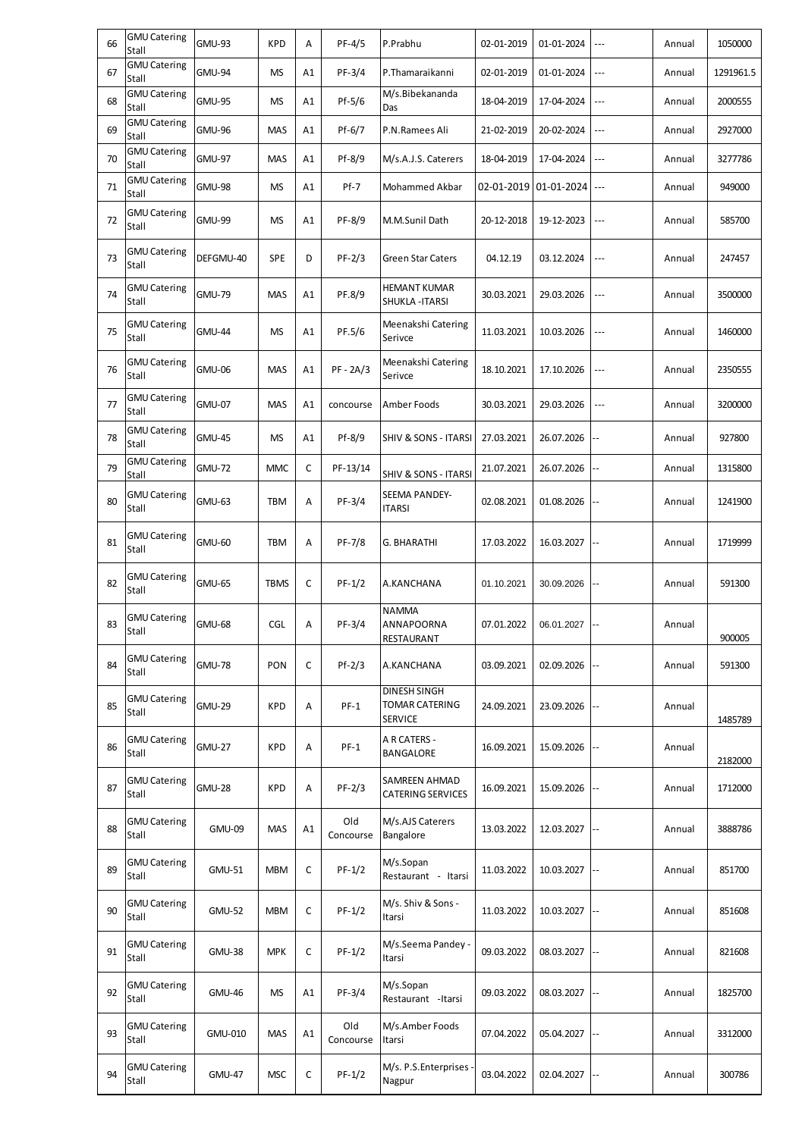| <b>GMU Catering</b><br>GMU-93<br><b>KPD</b><br>PF-4/5<br>P.Prabhu<br>66<br>02-01-2019<br>1050000<br>А<br>01-01-2024<br>Annual<br>---<br>Stall<br><b>GMU Catering</b><br>67<br>PF-3/4<br><b>GMU-94</b><br><b>MS</b><br>A1<br>P.Thamaraikanni<br>02-01-2019<br>01-01-2024<br>1291961.5<br>Annual<br>---<br>Stall<br><b>GMU Catering</b><br>M/s.Bibekananda<br><b>GMU-95</b><br>$Pf-5/6$<br>2000555<br>68<br><b>MS</b><br>A1<br>18-04-2019<br>17-04-2024<br>---<br>Annual<br>Stall<br>Das<br><b>GMU Catering</b><br>69<br><b>GMU-96</b><br><b>MAS</b><br>Pf-6/7<br>P.N.Ramees Ali<br>A1<br>21-02-2019<br>20-02-2024<br>Annual<br>2927000<br>---<br>Stall<br><b>GMU Catering</b><br><b>GMU-97</b><br>70<br><b>MAS</b><br>Pf-8/9<br>M/s.A.J.S. Caterers<br>18-04-2019<br>17-04-2024<br>A1<br>Annual<br>3277786<br>---<br>Stall<br><b>GMU Catering</b><br><b>GMU-98</b><br><b>MS</b><br>A1<br>$Pf-7$<br>02-01-2019<br>01-01-2024<br>949000<br>71<br>Mohammed Akbar<br>$\overline{a}$<br>Annual<br>Stall<br><b>GMU Catering</b><br>72<br><b>MS</b><br>PF-8/9<br><b>GMU-99</b><br>A1<br>M.M.Sunil Dath<br>585700<br>20-12-2018<br>19-12-2023<br>Annual<br>Stall<br><b>GMU Catering</b><br>73<br>DEFGMU-40<br><b>SPE</b><br>$PF-2/3$<br>D<br><b>Green Star Caters</b><br>04.12.19<br>03.12.2024<br>247457<br>Annual<br>---<br>Stall<br><b>GMU Catering</b><br><b>HEMANT KUMAR</b><br>PF.8/9<br>74<br><b>GMU-79</b><br><b>MAS</b><br>A1<br>30.03.2021<br>29.03.2026<br>3500000<br>---<br>Annual<br>Stall<br>SHUKLA - ITARSI<br><b>GMU Catering</b><br>Meenakshi Catering<br>75<br><b>GMU-44</b><br>PF.5/6<br><b>MS</b><br>A1<br>11.03.2021<br>10.03.2026<br>1460000<br>Annual<br>---<br>Stall<br>Serivce<br><b>GMU Catering</b><br>Meenakshi Catering<br>$PF - 2A/3$<br>76<br><b>GMU-06</b><br><b>MAS</b><br>A1<br>18.10.2021<br>17.10.2026<br>2350555<br>---<br>Annual<br>Stall<br>Serivce<br><b>GMU Catering</b><br>77<br><b>GMU-07</b><br><b>MAS</b><br>A1<br>Amber Foods<br>30.03.2021<br>29.03.2026<br>Annual<br>3200000<br>concourse<br>$---$<br>Stall<br><b>GMU Catering</b><br>78<br><b>GMU-45</b><br><b>MS</b><br>Pf-8/9<br>927800<br>A1<br><b>SHIV &amp; SONS - ITARSI</b><br>27.03.2021<br>26.07.2026<br>Annual<br>Stall<br><b>GMU Catering</b><br>79<br>C<br><b>GMU-72</b><br><b>MMC</b><br>21.07.2021<br>PF-13/14<br>26.07.2026<br>Annual<br>1315800<br><b>SHIV &amp; SONS - ITARSI</b><br>Stall<br><b>GMU Catering</b><br>SEEMA PANDEY-<br>80<br>PF-3/4<br>GMU-63<br><b>TBM</b><br>02.08.2021<br>01.08.2026<br>1241900<br>Α<br>Annual<br><b>ITARSI</b><br>Stall<br>GMU Catering<br>81<br>GMU-60<br>TBM<br>A<br>PF-7/8<br><b>G. BHARATHI</b><br>17.03.2022<br>16.03.2027<br>1719999<br>Annual<br>Stall<br>GMU Catering<br>82<br>C<br>$PF-1/2$<br>GMU-65<br><b>TBMS</b><br>A.KANCHANA<br>01.10.2021<br>591300<br>30.09.2026<br>Annual<br>Stall<br><b>NAMMA</b><br><b>GMU Catering</b><br>ANNAPOORNA<br>83<br><b>GMU-68</b><br>CGL<br>PF-3/4<br>07.01.2022<br>A<br>06.01.2027<br>Annual<br>Stall<br>900005<br>RESTAURANT<br><b>GMU Catering</b><br>PON<br>C<br>$Pf-2/3$<br>84<br><b>GMU-78</b><br>02.09.2026<br>591300<br>A.KANCHANA<br>03.09.2021<br>Annual<br>Stall<br><b>DINESH SINGH</b><br><b>GMU Catering</b><br><b>TOMAR CATERING</b><br>$PF-1$<br>85<br><b>GMU-29</b><br><b>KPD</b><br>Α<br>24.09.2021<br>23.09.2026<br>Annual<br>Stall<br><b>SERVICE</b><br>1485789<br>A R CATERS -<br><b>GMU Catering</b><br>86<br><b>GMU-27</b><br>KPD<br>$PF-1$<br>Α<br>16.09.2021<br>15.09.2026<br>Annual<br>BANGALORE<br>Stall<br>2182000<br><b>GMU Catering</b><br>SAMREEN AHMAD<br>87<br><b>GMU-28</b><br><b>KPD</b><br>$PF-2/3$<br>15.09.2026<br>Α<br>16.09.2021<br>Annual<br>1712000<br><b>CATERING SERVICES</b><br>Stall<br>M/s.AJS Caterers<br>Old<br><b>GMU Catering</b><br>88<br><b>GMU-09</b><br><b>MAS</b><br>A1<br>13.03.2022<br>12.03.2027<br>3888786<br>Annual<br>Bangalore<br>Stall<br>Concourse<br>M/s.Sopan<br><b>GMU Catering</b><br>C<br>$PF-1/2$<br>89<br><b>GMU-51</b><br><b>MBM</b><br>11.03.2022<br>10.03.2027<br>851700<br>Annual<br>Restaurant - Itarsi<br>Stall<br>M/s. Shiv & Sons -<br><b>GMU Catering</b><br>90<br>C<br>$PF-1/2$<br><b>GMU-52</b><br><b>MBM</b><br>11.03.2022<br>10.03.2027<br>Annual<br>851608<br>Itarsi<br>Stall<br><b>GMU Catering</b><br>M/s.Seema Pandey -<br>C<br>$PF-1/2$<br>91<br><b>GMU-38</b><br><b>MPK</b><br>09.03.2022<br>821608<br>08.03.2027<br>Annual<br>Stall<br>Itarsi<br>M/s.Sopan<br><b>GMU Catering</b><br>PF-3/4<br>92<br><b>GMU-46</b><br><b>MS</b><br>A1<br>09.03.2022<br>1825700<br>08.03.2027<br>Annual<br>Stall<br>Restaurant - Itarsi<br>Old<br>M/s.Amber Foods<br><b>GMU Catering</b><br>93<br>GMU-010<br><b>MAS</b><br>A1<br>07.04.2022<br>05.04.2027<br>3312000<br>Annual<br>Stall<br>Concourse<br>Itarsi<br>M/s. P.S.Enterprises<br><b>GMU Catering</b><br>94<br><b>GMU-47</b><br><b>MSC</b><br>C<br>$PF-1/2$<br>03.04.2022<br>02.04.2027<br>300786<br>Annual<br>Stall<br>Nagpur |  |  |  |  |  |  |
|-------------------------------------------------------------------------------------------------------------------------------------------------------------------------------------------------------------------------------------------------------------------------------------------------------------------------------------------------------------------------------------------------------------------------------------------------------------------------------------------------------------------------------------------------------------------------------------------------------------------------------------------------------------------------------------------------------------------------------------------------------------------------------------------------------------------------------------------------------------------------------------------------------------------------------------------------------------------------------------------------------------------------------------------------------------------------------------------------------------------------------------------------------------------------------------------------------------------------------------------------------------------------------------------------------------------------------------------------------------------------------------------------------------------------------------------------------------------------------------------------------------------------------------------------------------------------------------------------------------------------------------------------------------------------------------------------------------------------------------------------------------------------------------------------------------------------------------------------------------------------------------------------------------------------------------------------------------------------------------------------------------------------------------------------------------------------------------------------------------------------------------------------------------------------------------------------------------------------------------------------------------------------------------------------------------------------------------------------------------------------------------------------------------------------------------------------------------------------------------------------------------------------------------------------------------------------------------------------------------------------------------------------------------------------------------------------------------------------------------------------------------------------------------------------------------------------------------------------------------------------------------------------------------------------------------------------------------------------------------------------------------------------------------------------------------------------------------------------------------------------------------------------------------------------------------------------------------------------------------------------------------------------------------------------------------------------------------------------------------------------------------------------------------------------------------------------------------------------------------------------------------------------------------------------------------------------------------------------------------------------------------------------------------------------------------------------------------------------------------------------------------------------------------------------------------------------------------------------------------------------------------------------------------------------------------------------------------------------------------------------------------------------------------------------------------------------------------------------------------------------------------------------------------------------------------------------------------------------------------------------------------------------------------------------------------------------------------------------------------------------------------------------------------------------------------------------------------------------------------------------------------------------------------------------------------------------------------------------------------------------------------------------------------------------------------------------------------------------------------------------------------------------------------------------------------------------------------------------------------------------------------------------------------------------------------------------------------|--|--|--|--|--|--|
|                                                                                                                                                                                                                                                                                                                                                                                                                                                                                                                                                                                                                                                                                                                                                                                                                                                                                                                                                                                                                                                                                                                                                                                                                                                                                                                                                                                                                                                                                                                                                                                                                                                                                                                                                                                                                                                                                                                                                                                                                                                                                                                                                                                                                                                                                                                                                                                                                                                                                                                                                                                                                                                                                                                                                                                                                                                                                                                                                                                                                                                                                                                                                                                                                                                                                                                                                                                                                                                                                                                                                                                                                                                                                                                                                                                                                                                                                                                                                                                                                                                                                                                                                                                                                                                                                                                                                                                                                                                                                                                                                                                                                                                                                                                                                                                                                                                                                                                                                             |  |  |  |  |  |  |
|                                                                                                                                                                                                                                                                                                                                                                                                                                                                                                                                                                                                                                                                                                                                                                                                                                                                                                                                                                                                                                                                                                                                                                                                                                                                                                                                                                                                                                                                                                                                                                                                                                                                                                                                                                                                                                                                                                                                                                                                                                                                                                                                                                                                                                                                                                                                                                                                                                                                                                                                                                                                                                                                                                                                                                                                                                                                                                                                                                                                                                                                                                                                                                                                                                                                                                                                                                                                                                                                                                                                                                                                                                                                                                                                                                                                                                                                                                                                                                                                                                                                                                                                                                                                                                                                                                                                                                                                                                                                                                                                                                                                                                                                                                                                                                                                                                                                                                                                                             |  |  |  |  |  |  |
|                                                                                                                                                                                                                                                                                                                                                                                                                                                                                                                                                                                                                                                                                                                                                                                                                                                                                                                                                                                                                                                                                                                                                                                                                                                                                                                                                                                                                                                                                                                                                                                                                                                                                                                                                                                                                                                                                                                                                                                                                                                                                                                                                                                                                                                                                                                                                                                                                                                                                                                                                                                                                                                                                                                                                                                                                                                                                                                                                                                                                                                                                                                                                                                                                                                                                                                                                                                                                                                                                                                                                                                                                                                                                                                                                                                                                                                                                                                                                                                                                                                                                                                                                                                                                                                                                                                                                                                                                                                                                                                                                                                                                                                                                                                                                                                                                                                                                                                                                             |  |  |  |  |  |  |
|                                                                                                                                                                                                                                                                                                                                                                                                                                                                                                                                                                                                                                                                                                                                                                                                                                                                                                                                                                                                                                                                                                                                                                                                                                                                                                                                                                                                                                                                                                                                                                                                                                                                                                                                                                                                                                                                                                                                                                                                                                                                                                                                                                                                                                                                                                                                                                                                                                                                                                                                                                                                                                                                                                                                                                                                                                                                                                                                                                                                                                                                                                                                                                                                                                                                                                                                                                                                                                                                                                                                                                                                                                                                                                                                                                                                                                                                                                                                                                                                                                                                                                                                                                                                                                                                                                                                                                                                                                                                                                                                                                                                                                                                                                                                                                                                                                                                                                                                                             |  |  |  |  |  |  |
|                                                                                                                                                                                                                                                                                                                                                                                                                                                                                                                                                                                                                                                                                                                                                                                                                                                                                                                                                                                                                                                                                                                                                                                                                                                                                                                                                                                                                                                                                                                                                                                                                                                                                                                                                                                                                                                                                                                                                                                                                                                                                                                                                                                                                                                                                                                                                                                                                                                                                                                                                                                                                                                                                                                                                                                                                                                                                                                                                                                                                                                                                                                                                                                                                                                                                                                                                                                                                                                                                                                                                                                                                                                                                                                                                                                                                                                                                                                                                                                                                                                                                                                                                                                                                                                                                                                                                                                                                                                                                                                                                                                                                                                                                                                                                                                                                                                                                                                                                             |  |  |  |  |  |  |
|                                                                                                                                                                                                                                                                                                                                                                                                                                                                                                                                                                                                                                                                                                                                                                                                                                                                                                                                                                                                                                                                                                                                                                                                                                                                                                                                                                                                                                                                                                                                                                                                                                                                                                                                                                                                                                                                                                                                                                                                                                                                                                                                                                                                                                                                                                                                                                                                                                                                                                                                                                                                                                                                                                                                                                                                                                                                                                                                                                                                                                                                                                                                                                                                                                                                                                                                                                                                                                                                                                                                                                                                                                                                                                                                                                                                                                                                                                                                                                                                                                                                                                                                                                                                                                                                                                                                                                                                                                                                                                                                                                                                                                                                                                                                                                                                                                                                                                                                                             |  |  |  |  |  |  |
|                                                                                                                                                                                                                                                                                                                                                                                                                                                                                                                                                                                                                                                                                                                                                                                                                                                                                                                                                                                                                                                                                                                                                                                                                                                                                                                                                                                                                                                                                                                                                                                                                                                                                                                                                                                                                                                                                                                                                                                                                                                                                                                                                                                                                                                                                                                                                                                                                                                                                                                                                                                                                                                                                                                                                                                                                                                                                                                                                                                                                                                                                                                                                                                                                                                                                                                                                                                                                                                                                                                                                                                                                                                                                                                                                                                                                                                                                                                                                                                                                                                                                                                                                                                                                                                                                                                                                                                                                                                                                                                                                                                                                                                                                                                                                                                                                                                                                                                                                             |  |  |  |  |  |  |
|                                                                                                                                                                                                                                                                                                                                                                                                                                                                                                                                                                                                                                                                                                                                                                                                                                                                                                                                                                                                                                                                                                                                                                                                                                                                                                                                                                                                                                                                                                                                                                                                                                                                                                                                                                                                                                                                                                                                                                                                                                                                                                                                                                                                                                                                                                                                                                                                                                                                                                                                                                                                                                                                                                                                                                                                                                                                                                                                                                                                                                                                                                                                                                                                                                                                                                                                                                                                                                                                                                                                                                                                                                                                                                                                                                                                                                                                                                                                                                                                                                                                                                                                                                                                                                                                                                                                                                                                                                                                                                                                                                                                                                                                                                                                                                                                                                                                                                                                                             |  |  |  |  |  |  |
|                                                                                                                                                                                                                                                                                                                                                                                                                                                                                                                                                                                                                                                                                                                                                                                                                                                                                                                                                                                                                                                                                                                                                                                                                                                                                                                                                                                                                                                                                                                                                                                                                                                                                                                                                                                                                                                                                                                                                                                                                                                                                                                                                                                                                                                                                                                                                                                                                                                                                                                                                                                                                                                                                                                                                                                                                                                                                                                                                                                                                                                                                                                                                                                                                                                                                                                                                                                                                                                                                                                                                                                                                                                                                                                                                                                                                                                                                                                                                                                                                                                                                                                                                                                                                                                                                                                                                                                                                                                                                                                                                                                                                                                                                                                                                                                                                                                                                                                                                             |  |  |  |  |  |  |
|                                                                                                                                                                                                                                                                                                                                                                                                                                                                                                                                                                                                                                                                                                                                                                                                                                                                                                                                                                                                                                                                                                                                                                                                                                                                                                                                                                                                                                                                                                                                                                                                                                                                                                                                                                                                                                                                                                                                                                                                                                                                                                                                                                                                                                                                                                                                                                                                                                                                                                                                                                                                                                                                                                                                                                                                                                                                                                                                                                                                                                                                                                                                                                                                                                                                                                                                                                                                                                                                                                                                                                                                                                                                                                                                                                                                                                                                                                                                                                                                                                                                                                                                                                                                                                                                                                                                                                                                                                                                                                                                                                                                                                                                                                                                                                                                                                                                                                                                                             |  |  |  |  |  |  |
|                                                                                                                                                                                                                                                                                                                                                                                                                                                                                                                                                                                                                                                                                                                                                                                                                                                                                                                                                                                                                                                                                                                                                                                                                                                                                                                                                                                                                                                                                                                                                                                                                                                                                                                                                                                                                                                                                                                                                                                                                                                                                                                                                                                                                                                                                                                                                                                                                                                                                                                                                                                                                                                                                                                                                                                                                                                                                                                                                                                                                                                                                                                                                                                                                                                                                                                                                                                                                                                                                                                                                                                                                                                                                                                                                                                                                                                                                                                                                                                                                                                                                                                                                                                                                                                                                                                                                                                                                                                                                                                                                                                                                                                                                                                                                                                                                                                                                                                                                             |  |  |  |  |  |  |
|                                                                                                                                                                                                                                                                                                                                                                                                                                                                                                                                                                                                                                                                                                                                                                                                                                                                                                                                                                                                                                                                                                                                                                                                                                                                                                                                                                                                                                                                                                                                                                                                                                                                                                                                                                                                                                                                                                                                                                                                                                                                                                                                                                                                                                                                                                                                                                                                                                                                                                                                                                                                                                                                                                                                                                                                                                                                                                                                                                                                                                                                                                                                                                                                                                                                                                                                                                                                                                                                                                                                                                                                                                                                                                                                                                                                                                                                                                                                                                                                                                                                                                                                                                                                                                                                                                                                                                                                                                                                                                                                                                                                                                                                                                                                                                                                                                                                                                                                                             |  |  |  |  |  |  |
|                                                                                                                                                                                                                                                                                                                                                                                                                                                                                                                                                                                                                                                                                                                                                                                                                                                                                                                                                                                                                                                                                                                                                                                                                                                                                                                                                                                                                                                                                                                                                                                                                                                                                                                                                                                                                                                                                                                                                                                                                                                                                                                                                                                                                                                                                                                                                                                                                                                                                                                                                                                                                                                                                                                                                                                                                                                                                                                                                                                                                                                                                                                                                                                                                                                                                                                                                                                                                                                                                                                                                                                                                                                                                                                                                                                                                                                                                                                                                                                                                                                                                                                                                                                                                                                                                                                                                                                                                                                                                                                                                                                                                                                                                                                                                                                                                                                                                                                                                             |  |  |  |  |  |  |
|                                                                                                                                                                                                                                                                                                                                                                                                                                                                                                                                                                                                                                                                                                                                                                                                                                                                                                                                                                                                                                                                                                                                                                                                                                                                                                                                                                                                                                                                                                                                                                                                                                                                                                                                                                                                                                                                                                                                                                                                                                                                                                                                                                                                                                                                                                                                                                                                                                                                                                                                                                                                                                                                                                                                                                                                                                                                                                                                                                                                                                                                                                                                                                                                                                                                                                                                                                                                                                                                                                                                                                                                                                                                                                                                                                                                                                                                                                                                                                                                                                                                                                                                                                                                                                                                                                                                                                                                                                                                                                                                                                                                                                                                                                                                                                                                                                                                                                                                                             |  |  |  |  |  |  |
|                                                                                                                                                                                                                                                                                                                                                                                                                                                                                                                                                                                                                                                                                                                                                                                                                                                                                                                                                                                                                                                                                                                                                                                                                                                                                                                                                                                                                                                                                                                                                                                                                                                                                                                                                                                                                                                                                                                                                                                                                                                                                                                                                                                                                                                                                                                                                                                                                                                                                                                                                                                                                                                                                                                                                                                                                                                                                                                                                                                                                                                                                                                                                                                                                                                                                                                                                                                                                                                                                                                                                                                                                                                                                                                                                                                                                                                                                                                                                                                                                                                                                                                                                                                                                                                                                                                                                                                                                                                                                                                                                                                                                                                                                                                                                                                                                                                                                                                                                             |  |  |  |  |  |  |
|                                                                                                                                                                                                                                                                                                                                                                                                                                                                                                                                                                                                                                                                                                                                                                                                                                                                                                                                                                                                                                                                                                                                                                                                                                                                                                                                                                                                                                                                                                                                                                                                                                                                                                                                                                                                                                                                                                                                                                                                                                                                                                                                                                                                                                                                                                                                                                                                                                                                                                                                                                                                                                                                                                                                                                                                                                                                                                                                                                                                                                                                                                                                                                                                                                                                                                                                                                                                                                                                                                                                                                                                                                                                                                                                                                                                                                                                                                                                                                                                                                                                                                                                                                                                                                                                                                                                                                                                                                                                                                                                                                                                                                                                                                                                                                                                                                                                                                                                                             |  |  |  |  |  |  |
|                                                                                                                                                                                                                                                                                                                                                                                                                                                                                                                                                                                                                                                                                                                                                                                                                                                                                                                                                                                                                                                                                                                                                                                                                                                                                                                                                                                                                                                                                                                                                                                                                                                                                                                                                                                                                                                                                                                                                                                                                                                                                                                                                                                                                                                                                                                                                                                                                                                                                                                                                                                                                                                                                                                                                                                                                                                                                                                                                                                                                                                                                                                                                                                                                                                                                                                                                                                                                                                                                                                                                                                                                                                                                                                                                                                                                                                                                                                                                                                                                                                                                                                                                                                                                                                                                                                                                                                                                                                                                                                                                                                                                                                                                                                                                                                                                                                                                                                                                             |  |  |  |  |  |  |
|                                                                                                                                                                                                                                                                                                                                                                                                                                                                                                                                                                                                                                                                                                                                                                                                                                                                                                                                                                                                                                                                                                                                                                                                                                                                                                                                                                                                                                                                                                                                                                                                                                                                                                                                                                                                                                                                                                                                                                                                                                                                                                                                                                                                                                                                                                                                                                                                                                                                                                                                                                                                                                                                                                                                                                                                                                                                                                                                                                                                                                                                                                                                                                                                                                                                                                                                                                                                                                                                                                                                                                                                                                                                                                                                                                                                                                                                                                                                                                                                                                                                                                                                                                                                                                                                                                                                                                                                                                                                                                                                                                                                                                                                                                                                                                                                                                                                                                                                                             |  |  |  |  |  |  |
|                                                                                                                                                                                                                                                                                                                                                                                                                                                                                                                                                                                                                                                                                                                                                                                                                                                                                                                                                                                                                                                                                                                                                                                                                                                                                                                                                                                                                                                                                                                                                                                                                                                                                                                                                                                                                                                                                                                                                                                                                                                                                                                                                                                                                                                                                                                                                                                                                                                                                                                                                                                                                                                                                                                                                                                                                                                                                                                                                                                                                                                                                                                                                                                                                                                                                                                                                                                                                                                                                                                                                                                                                                                                                                                                                                                                                                                                                                                                                                                                                                                                                                                                                                                                                                                                                                                                                                                                                                                                                                                                                                                                                                                                                                                                                                                                                                                                                                                                                             |  |  |  |  |  |  |
|                                                                                                                                                                                                                                                                                                                                                                                                                                                                                                                                                                                                                                                                                                                                                                                                                                                                                                                                                                                                                                                                                                                                                                                                                                                                                                                                                                                                                                                                                                                                                                                                                                                                                                                                                                                                                                                                                                                                                                                                                                                                                                                                                                                                                                                                                                                                                                                                                                                                                                                                                                                                                                                                                                                                                                                                                                                                                                                                                                                                                                                                                                                                                                                                                                                                                                                                                                                                                                                                                                                                                                                                                                                                                                                                                                                                                                                                                                                                                                                                                                                                                                                                                                                                                                                                                                                                                                                                                                                                                                                                                                                                                                                                                                                                                                                                                                                                                                                                                             |  |  |  |  |  |  |
|                                                                                                                                                                                                                                                                                                                                                                                                                                                                                                                                                                                                                                                                                                                                                                                                                                                                                                                                                                                                                                                                                                                                                                                                                                                                                                                                                                                                                                                                                                                                                                                                                                                                                                                                                                                                                                                                                                                                                                                                                                                                                                                                                                                                                                                                                                                                                                                                                                                                                                                                                                                                                                                                                                                                                                                                                                                                                                                                                                                                                                                                                                                                                                                                                                                                                                                                                                                                                                                                                                                                                                                                                                                                                                                                                                                                                                                                                                                                                                                                                                                                                                                                                                                                                                                                                                                                                                                                                                                                                                                                                                                                                                                                                                                                                                                                                                                                                                                                                             |  |  |  |  |  |  |
|                                                                                                                                                                                                                                                                                                                                                                                                                                                                                                                                                                                                                                                                                                                                                                                                                                                                                                                                                                                                                                                                                                                                                                                                                                                                                                                                                                                                                                                                                                                                                                                                                                                                                                                                                                                                                                                                                                                                                                                                                                                                                                                                                                                                                                                                                                                                                                                                                                                                                                                                                                                                                                                                                                                                                                                                                                                                                                                                                                                                                                                                                                                                                                                                                                                                                                                                                                                                                                                                                                                                                                                                                                                                                                                                                                                                                                                                                                                                                                                                                                                                                                                                                                                                                                                                                                                                                                                                                                                                                                                                                                                                                                                                                                                                                                                                                                                                                                                                                             |  |  |  |  |  |  |
|                                                                                                                                                                                                                                                                                                                                                                                                                                                                                                                                                                                                                                                                                                                                                                                                                                                                                                                                                                                                                                                                                                                                                                                                                                                                                                                                                                                                                                                                                                                                                                                                                                                                                                                                                                                                                                                                                                                                                                                                                                                                                                                                                                                                                                                                                                                                                                                                                                                                                                                                                                                                                                                                                                                                                                                                                                                                                                                                                                                                                                                                                                                                                                                                                                                                                                                                                                                                                                                                                                                                                                                                                                                                                                                                                                                                                                                                                                                                                                                                                                                                                                                                                                                                                                                                                                                                                                                                                                                                                                                                                                                                                                                                                                                                                                                                                                                                                                                                                             |  |  |  |  |  |  |
|                                                                                                                                                                                                                                                                                                                                                                                                                                                                                                                                                                                                                                                                                                                                                                                                                                                                                                                                                                                                                                                                                                                                                                                                                                                                                                                                                                                                                                                                                                                                                                                                                                                                                                                                                                                                                                                                                                                                                                                                                                                                                                                                                                                                                                                                                                                                                                                                                                                                                                                                                                                                                                                                                                                                                                                                                                                                                                                                                                                                                                                                                                                                                                                                                                                                                                                                                                                                                                                                                                                                                                                                                                                                                                                                                                                                                                                                                                                                                                                                                                                                                                                                                                                                                                                                                                                                                                                                                                                                                                                                                                                                                                                                                                                                                                                                                                                                                                                                                             |  |  |  |  |  |  |
|                                                                                                                                                                                                                                                                                                                                                                                                                                                                                                                                                                                                                                                                                                                                                                                                                                                                                                                                                                                                                                                                                                                                                                                                                                                                                                                                                                                                                                                                                                                                                                                                                                                                                                                                                                                                                                                                                                                                                                                                                                                                                                                                                                                                                                                                                                                                                                                                                                                                                                                                                                                                                                                                                                                                                                                                                                                                                                                                                                                                                                                                                                                                                                                                                                                                                                                                                                                                                                                                                                                                                                                                                                                                                                                                                                                                                                                                                                                                                                                                                                                                                                                                                                                                                                                                                                                                                                                                                                                                                                                                                                                                                                                                                                                                                                                                                                                                                                                                                             |  |  |  |  |  |  |
|                                                                                                                                                                                                                                                                                                                                                                                                                                                                                                                                                                                                                                                                                                                                                                                                                                                                                                                                                                                                                                                                                                                                                                                                                                                                                                                                                                                                                                                                                                                                                                                                                                                                                                                                                                                                                                                                                                                                                                                                                                                                                                                                                                                                                                                                                                                                                                                                                                                                                                                                                                                                                                                                                                                                                                                                                                                                                                                                                                                                                                                                                                                                                                                                                                                                                                                                                                                                                                                                                                                                                                                                                                                                                                                                                                                                                                                                                                                                                                                                                                                                                                                                                                                                                                                                                                                                                                                                                                                                                                                                                                                                                                                                                                                                                                                                                                                                                                                                                             |  |  |  |  |  |  |
|                                                                                                                                                                                                                                                                                                                                                                                                                                                                                                                                                                                                                                                                                                                                                                                                                                                                                                                                                                                                                                                                                                                                                                                                                                                                                                                                                                                                                                                                                                                                                                                                                                                                                                                                                                                                                                                                                                                                                                                                                                                                                                                                                                                                                                                                                                                                                                                                                                                                                                                                                                                                                                                                                                                                                                                                                                                                                                                                                                                                                                                                                                                                                                                                                                                                                                                                                                                                                                                                                                                                                                                                                                                                                                                                                                                                                                                                                                                                                                                                                                                                                                                                                                                                                                                                                                                                                                                                                                                                                                                                                                                                                                                                                                                                                                                                                                                                                                                                                             |  |  |  |  |  |  |
|                                                                                                                                                                                                                                                                                                                                                                                                                                                                                                                                                                                                                                                                                                                                                                                                                                                                                                                                                                                                                                                                                                                                                                                                                                                                                                                                                                                                                                                                                                                                                                                                                                                                                                                                                                                                                                                                                                                                                                                                                                                                                                                                                                                                                                                                                                                                                                                                                                                                                                                                                                                                                                                                                                                                                                                                                                                                                                                                                                                                                                                                                                                                                                                                                                                                                                                                                                                                                                                                                                                                                                                                                                                                                                                                                                                                                                                                                                                                                                                                                                                                                                                                                                                                                                                                                                                                                                                                                                                                                                                                                                                                                                                                                                                                                                                                                                                                                                                                                             |  |  |  |  |  |  |
|                                                                                                                                                                                                                                                                                                                                                                                                                                                                                                                                                                                                                                                                                                                                                                                                                                                                                                                                                                                                                                                                                                                                                                                                                                                                                                                                                                                                                                                                                                                                                                                                                                                                                                                                                                                                                                                                                                                                                                                                                                                                                                                                                                                                                                                                                                                                                                                                                                                                                                                                                                                                                                                                                                                                                                                                                                                                                                                                                                                                                                                                                                                                                                                                                                                                                                                                                                                                                                                                                                                                                                                                                                                                                                                                                                                                                                                                                                                                                                                                                                                                                                                                                                                                                                                                                                                                                                                                                                                                                                                                                                                                                                                                                                                                                                                                                                                                                                                                                             |  |  |  |  |  |  |